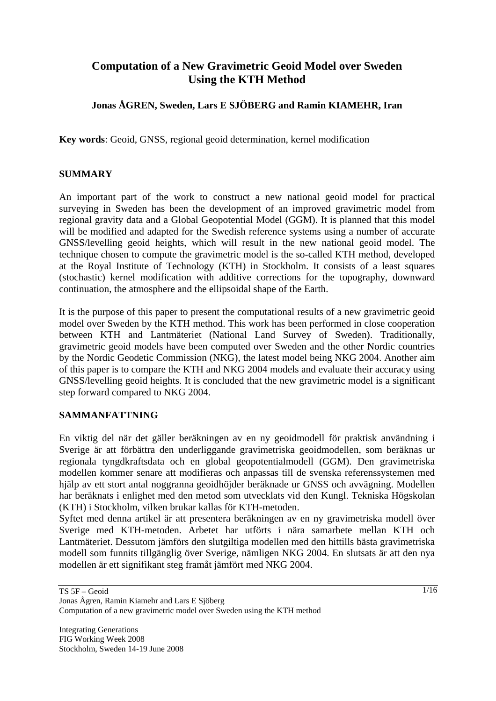# **Computation of a New Gravimetric Geoid Model over Sweden Using the KTH Method**

## **Jonas ÅGREN, Sweden, Lars E SJÖBERG and Ramin KIAMEHR, Iran**

**Key words**: Geoid, GNSS, regional geoid determination, kernel modification

### **SUMMARY**

An important part of the work to construct a new national geoid model for practical surveying in Sweden has been the development of an improved gravimetric model from regional gravity data and a Global Geopotential Model (GGM). It is planned that this model will be modified and adapted for the Swedish reference systems using a number of accurate GNSS/levelling geoid heights, which will result in the new national geoid model. The technique chosen to compute the gravimetric model is the so-called KTH method, developed at the Royal Institute of Technology (KTH) in Stockholm. It consists of a least squares (stochastic) kernel modification with additive corrections for the topography, downward continuation, the atmosphere and the ellipsoidal shape of the Earth.

It is the purpose of this paper to present the computational results of a new gravimetric geoid model over Sweden by the KTH method. This work has been performed in close cooperation between KTH and Lantmäteriet (National Land Survey of Sweden). Traditionally, gravimetric geoid models have been computed over Sweden and the other Nordic countries by the Nordic Geodetic Commission (NKG), the latest model being NKG 2004. Another aim of this paper is to compare the KTH and NKG 2004 models and evaluate their accuracy using GNSS/levelling geoid heights. It is concluded that the new gravimetric model is a significant step forward compared to NKG 2004.

### **SAMMANFATTNING**

En viktig del när det gäller beräkningen av en ny geoidmodell för praktisk användning i Sverige är att förbättra den underliggande gravimetriska geoidmodellen, som beräknas ur regionala tyngdkraftsdata och en global geopotentialmodell (GGM). Den gravimetriska modellen kommer senare att modifieras och anpassas till de svenska referenssystemen med hjälp av ett stort antal noggranna geoidhöjder beräknade ur GNSS och avvägning. Modellen har beräknats i enlighet med den metod som utvecklats vid den Kungl. Tekniska Högskolan (KTH) i Stockholm, vilken brukar kallas för KTH-metoden.

Syftet med denna artikel är att presentera beräkningen av en ny gravimetriska modell över Sverige med KTH-metoden. Arbetet har utförts i nära samarbete mellan KTH och Lantmäteriet. Dessutom jämförs den slutgiltiga modellen med den hittills bästa gravimetriska modell som funnits tillgänglig över Sverige, nämligen NKG 2004. En slutsats är att den nya modellen är ett signifikant steg framåt jämfört med NKG 2004.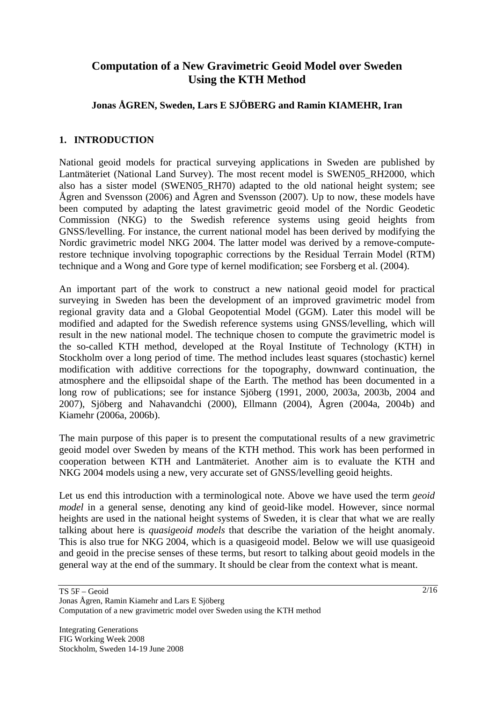## **Computation of a New Gravimetric Geoid Model over Sweden Using the KTH Method**

### **Jonas ÅGREN, Sweden, Lars E SJÖBERG and Ramin KIAMEHR, Iran**

### **1. INTRODUCTION**

National geoid models for practical surveying applications in Sweden are published by Lantmäteriet (National Land Survey). The most recent model is SWEN05\_RH2000, which also has a sister model (SWEN05\_RH70) adapted to the old national height system; see Ågren and Svensson (2006) and Ågren and Svensson (2007). Up to now, these models have been computed by adapting the latest gravimetric geoid model of the Nordic Geodetic Commission (NKG) to the Swedish reference systems using geoid heights from GNSS/levelling. For instance, the current national model has been derived by modifying the Nordic gravimetric model NKG 2004. The latter model was derived by a remove-computerestore technique involving topographic corrections by the Residual Terrain Model (RTM) technique and a Wong and Gore type of kernel modification; see Forsberg et al. (2004).

An important part of the work to construct a new national geoid model for practical surveying in Sweden has been the development of an improved gravimetric model from regional gravity data and a Global Geopotential Model (GGM). Later this model will be modified and adapted for the Swedish reference systems using GNSS/levelling, which will result in the new national model. The technique chosen to compute the gravimetric model is the so-called KTH method, developed at the Royal Institute of Technology (KTH) in Stockholm over a long period of time. The method includes least squares (stochastic) kernel modification with additive corrections for the topography, downward continuation, the atmosphere and the ellipsoidal shape of the Earth. The method has been documented in a long row of publications; see for instance Sjöberg (1991, 2000, 2003a, 2003b, 2004 and 2007), Sjöberg and Nahavandchi (2000), Ellmann (2004), Ågren (2004a, 2004b) and Kiamehr (2006a, 2006b).

The main purpose of this paper is to present the computational results of a new gravimetric geoid model over Sweden by means of the KTH method. This work has been performed in cooperation between KTH and Lantmäteriet. Another aim is to evaluate the KTH and NKG 2004 models using a new, very accurate set of GNSS/levelling geoid heights.

Let us end this introduction with a terminological note. Above we have used the term *geoid model* in a general sense, denoting any kind of geoid-like model. However, since normal heights are used in the national height systems of Sweden, it is clear that what we are really talking about here is *quasigeoid models* that describe the variation of the height anomaly. This is also true for NKG 2004, which is a quasigeoid model. Below we will use quasigeoid and geoid in the precise senses of these terms, but resort to talking about geoid models in the general way at the end of the summary. It should be clear from the context what is meant.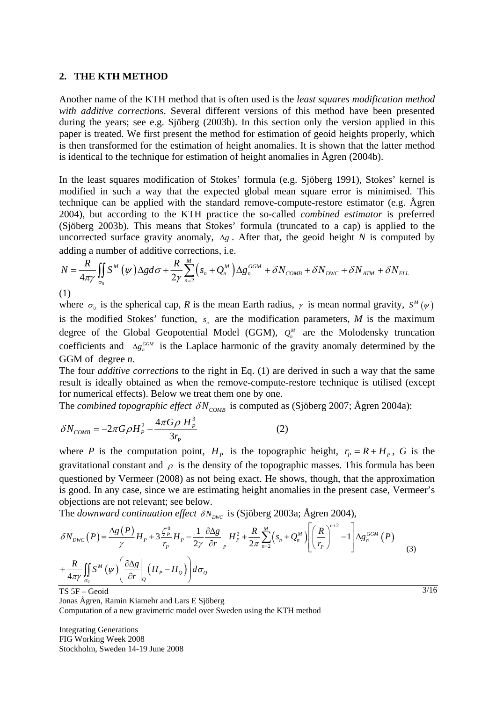#### **2. THE KTH METHOD**

Another name of the KTH method that is often used is the *least squares modification method with additive corrections*. Several different versions of this method have been presented during the years; see e.g. Sjöberg (2003b). In this section only the version applied in this paper is treated. We first present the method for estimation of geoid heights properly, which is then transformed for the estimation of height anomalies. It is shown that the latter method is identical to the technique for estimation of height anomalies in Ågren (2004b).

In the least squares modification of Stokes' formula (e.g. Sjöberg 1991), Stokes' kernel is modified in such a way that the expected global mean square error is minimised. This technique can be applied with the standard remove-compute-restore estimator (e.g. Ågren 2004), but according to the KTH practice the so-called *combined estimator* is preferred (Sjöberg 2003b). This means that Stokes' formula (truncated to a cap) is applied to the uncorrected surface gravity anomaly,  $\Delta g$ . After that, the geoid height *N* is computed by adding a number of additive corrections, i.e.

$$
N = \frac{R}{4\pi\gamma} \iint_{\sigma_0} S^M (\psi) \Delta g d\sigma + \frac{R}{2\gamma} \sum_{n=2}^M \left( s_n + Q_n^M \right) \Delta g_n^{GGM} + \delta N_{\text{COMB}} + \delta N_{\text{DWC}} + \delta N_{\text{ATM}} + \delta N_{\text{ELL}}
$$
\n(1)

where  $\sigma_0$  is the spherical cap, *R* is the mean Earth radius,  $\gamma$  is mean normal gravity,  $S^M(\psi)$ is the modified Stokes' function,  $s_n$  are the modification parameters,  $M$  is the maximum degree of the Global Geopotential Model (GGM),  $Q_n^M$  are the Molodensky truncation coefficients and  $\Delta g_n^{\text{GGM}}$  is the Laplace harmonic of the gravity anomaly determined by the GGM of degree *n*.

The four *additive corrections* to the right in Eq. (1) are derived in such a way that the same result is ideally obtained as when the remove-compute-restore technique is utilised (except for numerical effects). Below we treat them one by one.

The *combined topographic effect*  $\delta N_{\text{COMB}}$  is computed as (Sjöberg 2007; Ågren 2004a):

$$
\delta N_{\text{COMB}} = -2\pi G \rho H_P^2 - \frac{4\pi G \rho H_P^3}{3r_p} \tag{2}
$$

where *P* is the computation point,  $H<sub>p</sub>$  is the topographic height,  $r<sub>p</sub> = R + H<sub>p</sub>$ , *G* is the gravitational constant and  $\rho$  is the density of the topographic masses. This formula has been questioned by Vermeer (2008) as not being exact. He shows, though, that the approximation is good. In any case, since we are estimating height anomalies in the present case, Vermeer's objections are not relevant; see below.

The *downward continuation effect*  $\delta N_{\text{DWC}}$  is (Sjöberg 2003a; Ågren 2004),

$$
\delta N_{DWC}(P) = \frac{\Delta g(P)}{\gamma} H_P + 3 \frac{\zeta_P^0}{r_P} H_P - \frac{1}{2\gamma} \frac{\partial \Delta g}{\partial r} \bigg|_P H_P^2 + \frac{R}{2\pi} \sum_{n=2}^M \left( s_n + Q_n^M \right) \left[ \left( \frac{R}{r_P} \right)^{n+2} - 1 \right] \Delta g_n^{GGM}(P) \tag{3}
$$
\n
$$
+ \frac{R}{4\pi \gamma} \iint_{\sigma_0} S^M(\psi) \left( \frac{\partial \Delta g}{\partial r} \bigg|_Q \left( H_P - H_Q \right) \right) d\sigma_Q
$$

TS 5F – Geoid

Jonas Ågren, Ramin Kiamehr and Lars E Sjöberg Computation of a new gravimetric model over Sweden using the KTH method

Integrating Generations FIG Working Week 2008 Stockholm, Sweden 14-19 June 2008  $\frac{3}{16}$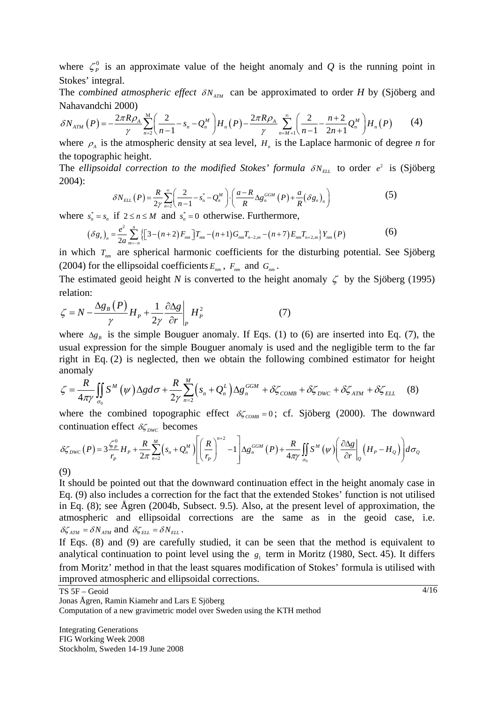where  $\zeta_p^0$  is an approximate value of the height anomaly and *Q* is the running point in Stokes' integral.

The *combined atmospheric effect*  $\delta N_{ATM}$  can be approximated to order *H* by (Sjöberg and Nahavandchi 2000)

$$
\delta N_{ATM}(P) = -\frac{2\pi R \rho_A}{\gamma} \sum_{n=2}^{M} \left( \frac{2}{n-1} - s_n - Q_n^M \right) H_n(P) - \frac{2\pi R \rho_A}{\gamma} \sum_{n=M+1}^{\infty} \left( \frac{2}{n-1} - \frac{n+2}{2n+1} Q_n^M \right) H_n(P) \tag{4}
$$

where  $\rho_A$  is the atmospheric density at sea level,  $H_n$  is the Laplace harmonic of degree *n* for the topographic height.

The *ellipsoidal correction to the modified Stokes' formula*  $\delta N_{EL}$  to order  $e^2$  is (Sjöberg 2004):

$$
\delta N_{ELL}(P) = \frac{R}{2\gamma} \sum_{n=2}^{\infty} \left( \frac{2}{n-1} - s_n^* - Q_n^M \right) \cdot \left( \frac{a - R}{R} \Delta g_n^{GGM}(P) + \frac{a}{R} (\delta g_e)_n \right) \tag{5}
$$

where  $s_n^* = s_n$  if  $2 \le n \le M$  and  $s_n^* = 0$  otherwise. Furthermore,

$$
(\delta g_e)_n = \frac{e^2}{2a} \sum_{m=-n}^n \left\{ \left[ 3 - (n+2) F_{nm} \right] T_{nm} - (n+1) G_{nm} T_{n-2,m} - (n+7) E_{nm} T_{n+2,m} \right\} Y_{nm} (P) \tag{6}
$$

in which  $T_{nm}$  are spherical harmonic coefficients for the disturbing potential. See Sjöberg (2004) for the ellipsoidal coefficients  $E_{nm}$ ,  $F_{nm}$  and  $G_{nm}$ .

The estimated geoid height *N* is converted to the height anomaly  $\zeta$  by the Sjöberg (1995) relation:

$$
\zeta = N - \frac{\Delta g_B(P)}{\gamma} H_P + \frac{1}{2\gamma} \frac{\partial \Delta g}{\partial r} \bigg|_P H_P^2 \tag{7}
$$

where  $\Delta g_B$  is the simple Bouguer anomaly. If Eqs. (1) to (6) are inserted into Eq. (7), the usual expression for the simple Bouguer anomaly is used and the negligible term to the far right in Eq. (2) is neglected, then we obtain the following combined estimator for height anomaly

$$
\zeta = \frac{R}{4\pi\gamma} \iint_{\sigma_0} S^M(\psi) \Delta g d\sigma + \frac{R}{2\gamma} \sum_{n=2}^M \left( s_n + Q_n^L \right) \Delta g_n^{GGM} + \delta \zeta_{COMB} + \delta \zeta_{DWC} + \delta \zeta_{ATM} + \delta \zeta_{ELL} \tag{8}
$$

where the combined topographic effect  $\delta \zeta_{\text{COMB}} = 0$ ; cf. Sjöberg (2000). The downward continuation effect  $\delta \zeta_{DWC}$  becomes

$$
\delta \zeta_{DWC}(P) = 3 \frac{\zeta_P^0}{r_p} H_P + \frac{R}{2\pi} \sum_{n=2}^M \left( s_n + Q_n^M \right) \left[ \left( \frac{R}{r_p} \right)^{n+2} - 1 \right] \Delta g_n^{GGM}(P) + \frac{R}{4\pi \gamma} \iint_{\sigma_0} S^M(\psi) \left( \frac{\partial \Delta g}{\partial r} \Big|_{Q} \left( H_P - H_Q \right) \right) d\sigma_Q
$$
\n(9)

(9)

It should be pointed out that the downward continuation effect in the height anomaly case in Eq. (9) also includes a correction for the fact that the extended Stokes' function is not utilised in Eq. (8); see Ågren (2004b, Subsect. 9.5). Also, at the present level of approximation, the atmospheric and ellipsoidal corrections are the same as in the geoid case, i.e.  $\delta \zeta_{ATM} = \delta N_{ATM}$  and  $\delta \zeta_{ELL} = \delta N_{ELL}$ .

If Eqs. (8) and (9) are carefully studied, it can be seen that the method is equivalent to analytical continuation to point level using the  $g_1$  term in Moritz (1980, Sect. 45). It differs from Moritz' method in that the least squares modification of Stokes' formula is utilised with improved atmospheric and ellipsoidal corrections.

TS 5F – Geoid

Jonas Ågren, Ramin Kiamehr and Lars E Sjöberg

Computation of a new gravimetric model over Sweden using the KTH method

Integrating Generations FIG Working Week 2008 Stockholm, Sweden 14-19 June 2008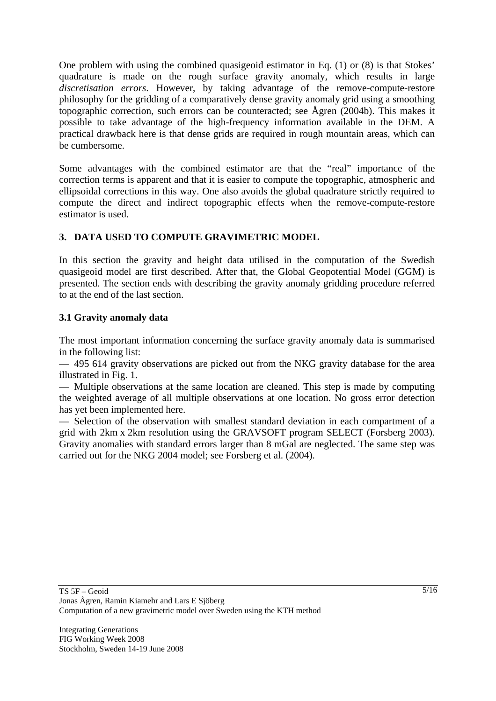One problem with using the combined quasigeoid estimator in Eq. (1) or (8) is that Stokes' quadrature is made on the rough surface gravity anomaly, which results in large *discretisation errors*. However, by taking advantage of the remove-compute-restore philosophy for the gridding of a comparatively dense gravity anomaly grid using a smoothing topographic correction, such errors can be counteracted; see Ågren (2004b). This makes it possible to take advantage of the high-frequency information available in the DEM. A practical drawback here is that dense grids are required in rough mountain areas, which can be cumbersome.

Some advantages with the combined estimator are that the "real" importance of the correction terms is apparent and that it is easier to compute the topographic, atmospheric and ellipsoidal corrections in this way. One also avoids the global quadrature strictly required to compute the direct and indirect topographic effects when the remove-compute-restore estimator is used.

### **3. DATA USED TO COMPUTE GRAVIMETRIC MODEL**

In this section the gravity and height data utilised in the computation of the Swedish quasigeoid model are first described. After that, the Global Geopotential Model (GGM) is presented. The section ends with describing the gravity anomaly gridding procedure referred to at the end of the last section.

#### **3.1 Gravity anomaly data**

The most important information concerning the surface gravity anomaly data is summarised in the following list:

— 495 614 gravity observations are picked out from the NKG gravity database for the area illustrated in Fig. 1.

— Multiple observations at the same location are cleaned. This step is made by computing the weighted average of all multiple observations at one location. No gross error detection has yet been implemented here.

— Selection of the observation with smallest standard deviation in each compartment of a grid with 2km x 2km resolution using the GRAVSOFT program SELECT (Forsberg 2003). Gravity anomalies with standard errors larger than 8 mGal are neglected. The same step was carried out for the NKG 2004 model; see Forsberg et al. (2004).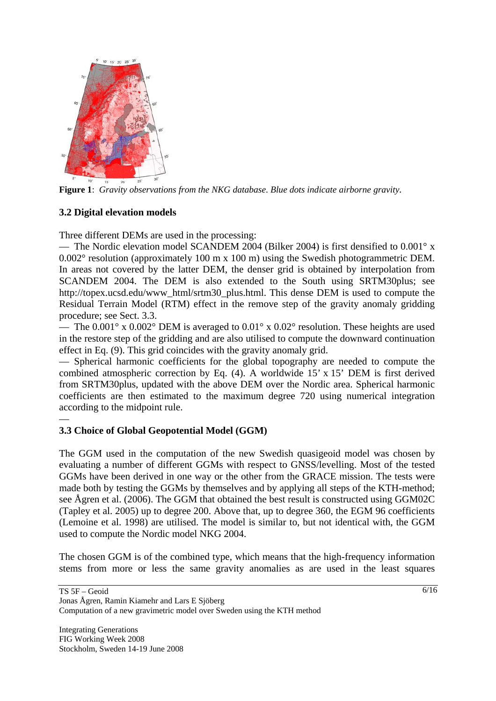

**Figure 1**: *Gravity observations from the NKG database*. *Blue dots indicate airborne gravity.*

### **3.2 Digital elevation models**

—

Three different DEMs are used in the processing:

— The Nordic elevation model SCANDEM 2004 (Bilker 2004) is first densified to 0.001° x 0.002° resolution (approximately 100 m x 100 m) using the Swedish photogrammetric DEM. In areas not covered by the latter DEM, the denser grid is obtained by interpolation from SCANDEM 2004. The DEM is also extended to the South using SRTM30plus; see http://topex.ucsd.edu/www\_html/srtm30\_plus.html. This dense DEM is used to compute the Residual Terrain Model (RTM) effect in the remove step of the gravity anomaly gridding procedure; see Sect. 3.3.

— The  $0.001^{\circ}$  x  $0.002^{\circ}$  DEM is averaged to  $0.01^{\circ}$  x  $0.02^{\circ}$  resolution. These heights are used in the restore step of the gridding and are also utilised to compute the downward continuation effect in Eq. (9). This grid coincides with the gravity anomaly grid.

— Spherical harmonic coefficients for the global topography are needed to compute the combined atmospheric correction by Eq. (4). A worldwide 15' x 15' DEM is first derived from SRTM30plus, updated with the above DEM over the Nordic area. Spherical harmonic coefficients are then estimated to the maximum degree 720 using numerical integration according to the midpoint rule.

### **3.3 Choice of Global Geopotential Model (GGM)**

The GGM used in the computation of the new Swedish quasigeoid model was chosen by evaluating a number of different GGMs with respect to GNSS/levelling. Most of the tested GGMs have been derived in one way or the other from the GRACE mission. The tests were made both by testing the GGMs by themselves and by applying all steps of the KTH-method; see Ågren et al. (2006). The GGM that obtained the best result is constructed using GGM02C (Tapley et al. 2005) up to degree 200. Above that, up to degree 360, the EGM 96 coefficients (Lemoine et al. 1998) are utilised. The model is similar to, but not identical with, the GGM used to compute the Nordic model NKG 2004.

The chosen GGM is of the combined type, which means that the high-frequency information stems from more or less the same gravity anomalies as are used in the least squares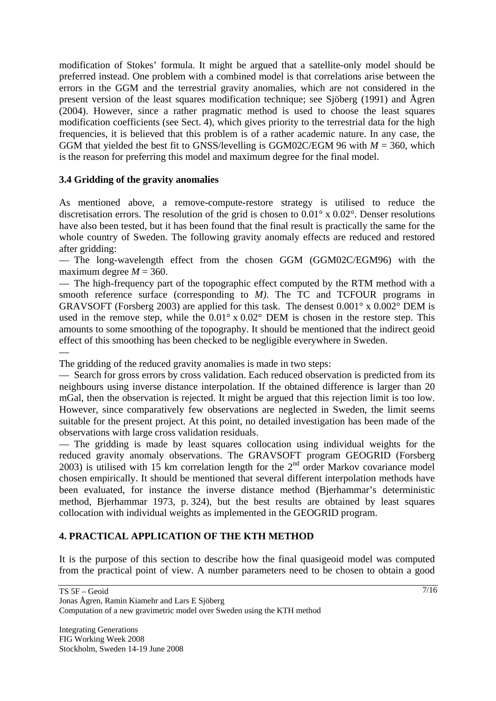modification of Stokes' formula. It might be argued that a satellite-only model should be preferred instead. One problem with a combined model is that correlations arise between the errors in the GGM and the terrestrial gravity anomalies, which are not considered in the present version of the least squares modification technique; see Sjöberg (1991) and Ågren (2004). However, since a rather pragmatic method is used to choose the least squares modification coefficients (see Sect. 4), which gives priority to the terrestrial data for the high frequencies, it is believed that this problem is of a rather academic nature. In any case, the GGM that yielded the best fit to GNSS/levelling is GGM02C/EGM 96 with  $M = 360$ , which is the reason for preferring this model and maximum degree for the final model.

### **3.4 Gridding of the gravity anomalies**

As mentioned above, a remove-compute-restore strategy is utilised to reduce the discretisation errors. The resolution of the grid is chosen to 0.01° x 0.02°. Denser resolutions have also been tested, but it has been found that the final result is practically the same for the whole country of Sweden. The following gravity anomaly effects are reduced and restored after gridding:

— The long-wavelength effect from the chosen GGM (GGM02C/EGM96) with the maximum degree  $M = 360$ .

— The high-frequency part of the topographic effect computed by the RTM method with a smooth reference surface (corresponding to *M)*. The TC and TCFOUR programs in GRAVSOFT (Forsberg 2003) are applied for this task. The densest  $0.001^\circ$  x  $0.002^\circ$  DEM is used in the remove step, while the  $0.01^\circ$  x  $0.02^\circ$  DEM is chosen in the restore step. This amounts to some smoothing of the topography. It should be mentioned that the indirect geoid effect of this smoothing has been checked to be negligible everywhere in Sweden.

—

The gridding of the reduced gravity anomalies is made in two steps:

— Search for gross errors by cross validation. Each reduced observation is predicted from its neighbours using inverse distance interpolation. If the obtained difference is larger than 20 mGal, then the observation is rejected. It might be argued that this rejection limit is too low. However, since comparatively few observations are neglected in Sweden, the limit seems suitable for the present project. At this point, no detailed investigation has been made of the observations with large cross validation residuals.

— The gridding is made by least squares collocation using individual weights for the reduced gravity anomaly observations. The GRAVSOFT program GEOGRID (Forsberg 2003) is utilised with 15 km correlation length for the  $2<sup>nd</sup>$  order Markov covariance model chosen empirically. It should be mentioned that several different interpolation methods have been evaluated, for instance the inverse distance method (Bjerhammar's deterministic method, Bjerhammar 1973, p. 324), but the best results are obtained by least squares collocation with individual weights as implemented in the GEOGRID program.

## **4. PRACTICAL APPLICATION OF THE KTH METHOD**

It is the purpose of this section to describe how the final quasigeoid model was computed from the practical point of view. A number parameters need to be chosen to obtain a good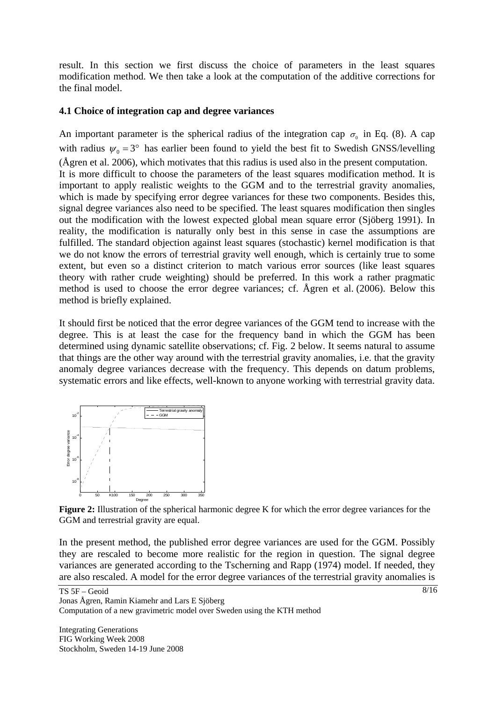result. In this section we first discuss the choice of parameters in the least squares modification method. We then take a look at the computation of the additive corrections for the final model.

#### **4.1 Choice of integration cap and degree variances**

An important parameter is the spherical radius of the integration cap  $\sigma_0$  in Eq. (8). A cap with radius  $\psi_0 = 3^\circ$  has earlier been found to yield the best fit to Swedish GNSS/levelling (Ågren et al. 2006), which motivates that this radius is used also in the present computation. It is more difficult to choose the parameters of the least squares modification method. It is important to apply realistic weights to the GGM and to the terrestrial gravity anomalies, which is made by specifying error degree variances for these two components. Besides this, signal degree variances also need to be specified. The least squares modification then singles out the modification with the lowest expected global mean square error (Sjöberg 1991). In reality, the modification is naturally only best in this sense in case the assumptions are fulfilled. The standard objection against least squares (stochastic) kernel modification is that we do not know the errors of terrestrial gravity well enough, which is certainly true to some extent, but even so a distinct criterion to match various error sources (like least squares theory with rather crude weighting) should be preferred. In this work a rather pragmatic method is used to choose the error degree variances; cf. Ågren et al. (2006). Below this method is briefly explained.

It should first be noticed that the error degree variances of the GGM tend to increase with the degree. This is at least the case for the frequency band in which the GGM has been determined using dynamic satellite observations; cf. Fig. 2 below. It seems natural to assume that things are the other way around with the terrestrial gravity anomalies, i.e. that the gravity anomaly degree variances decrease with the frequency. This depends on datum problems, systematic errors and like effects, well-known to anyone working with terrestrial gravity data.



**Figure 2:** Illustration of the spherical harmonic degree K for which the error degree variances for the GGM and terrestrial gravity are equal.

In the present method, the published error degree variances are used for the GGM. Possibly they are rescaled to become more realistic for the region in question. The signal degree variances are generated according to the Tscherning and Rapp (1974) model. If needed, they are also rescaled. A model for the error degree variances of the terrestrial gravity anomalies is

Jonas Ågren, Ramin Kiamehr and Lars E Sjöberg Computation of a new gravimetric model over Sweden using the KTH method

Integrating Generations FIG Working Week 2008 Stockholm, Sweden 14-19 June 2008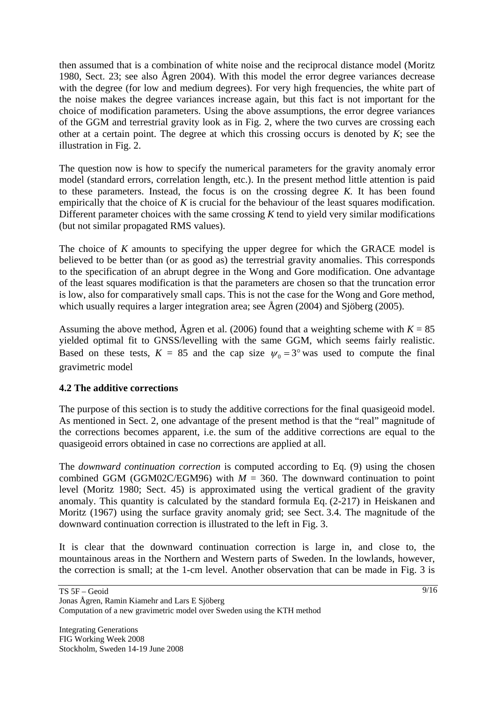then assumed that is a combination of white noise and the reciprocal distance model (Moritz 1980, Sect. 23; see also Ågren 2004). With this model the error degree variances decrease with the degree (for low and medium degrees). For very high frequencies, the white part of the noise makes the degree variances increase again, but this fact is not important for the choice of modification parameters. Using the above assumptions, the error degree variances of the GGM and terrestrial gravity look as in Fig. 2, where the two curves are crossing each other at a certain point. The degree at which this crossing occurs is denoted by *K*; see the illustration in Fig. 2.

The question now is how to specify the numerical parameters for the gravity anomaly error model (standard errors, correlation length, etc.). In the present method little attention is paid to these parameters. Instead, the focus is on the crossing degree *K.* It has been found empirically that the choice of *K* is crucial for the behaviour of the least squares modification. Different parameter choices with the same crossing *K* tend to yield very similar modifications (but not similar propagated RMS values).

The choice of *K* amounts to specifying the upper degree for which the GRACE model is believed to be better than (or as good as) the terrestrial gravity anomalies. This corresponds to the specification of an abrupt degree in the Wong and Gore modification. One advantage of the least squares modification is that the parameters are chosen so that the truncation error is low, also for comparatively small caps. This is not the case for the Wong and Gore method, which usually requires a larger integration area; see Ågren (2004) and Sjöberg (2005).

Assuming the above method, Ågren et al. (2006) found that a weighting scheme with  $K = 85$ yielded optimal fit to GNSS/levelling with the same GGM, which seems fairly realistic. Based on these tests,  $K = 85$  and the cap size  $\psi_0 = 3^\circ$  was used to compute the final gravimetric model

### **4.2 The additive corrections**

The purpose of this section is to study the additive corrections for the final quasigeoid model. As mentioned in Sect. 2, one advantage of the present method is that the "real" magnitude of the corrections becomes apparent, i.e. the sum of the additive corrections are equal to the quasigeoid errors obtained in case no corrections are applied at all.

The *downward continuation correction* is computed according to Eq. (9) using the chosen combined GGM (GGM02C/EGM96) with  $M = 360$ . The downward continuation to point level (Moritz 1980; Sect. 45) is approximated using the vertical gradient of the gravity anomaly. This quantity is calculated by the standard formula Eq. (2-217) in Heiskanen and Moritz (1967) using the surface gravity anomaly grid; see Sect. 3.4. The magnitude of the downward continuation correction is illustrated to the left in Fig. 3.

It is clear that the downward continuation correction is large in, and close to, the mountainous areas in the Northern and Western parts of Sweden. In the lowlands, however, the correction is small; at the 1-cm level. Another observation that can be made in Fig. 3 is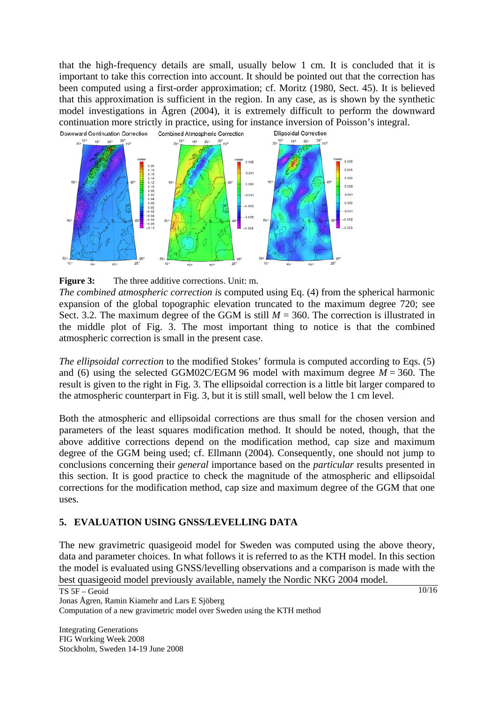that the high-frequency details are small, usually below 1 cm. It is concluded that it is important to take this correction into account. It should be pointed out that the correction has been computed using a first-order approximation; cf. Moritz (1980, Sect. 45). It is believed that this approximation is sufficient in the region. In any case, as is shown by the synthetic model investigations in Ågren (2004), it is extremely difficult to perform the downward continuation more strictly in practice, using for instance inversion of Poisson's integral.



**Figure 3:** The three additive corrections. Unit: m.

*The combined atmospheric correction i*s computed using Eq. (4) from the spherical harmonic expansion of the global topographic elevation truncated to the maximum degree 720; see Sect. 3.2. The maximum degree of the GGM is still  $M = 360$ . The correction is illustrated in the middle plot of Fig. 3. The most important thing to notice is that the combined atmospheric correction is small in the present case.

*The ellipsoidal correction* to the modified Stokes' formula is computed according to Eqs. (5) and (6) using the selected GGM02C/EGM 96 model with maximum degree  $M = 360$ . The result is given to the right in Fig. 3. The ellipsoidal correction is a little bit larger compared to the atmospheric counterpart in Fig. 3, but it is still small, well below the 1 cm level.

Both the atmospheric and ellipsoidal corrections are thus small for the chosen version and parameters of the least squares modification method. It should be noted, though, that the above additive corrections depend on the modification method, cap size and maximum degree of the GGM being used; cf. Ellmann (2004). Consequently, one should not jump to conclusions concerning their *general* importance based on the *particular* results presented in this section. It is good practice to check the magnitude of the atmospheric and ellipsoidal corrections for the modification method, cap size and maximum degree of the GGM that one uses.

### **5. EVALUATION USING GNSS/LEVELLING DATA**

The new gravimetric quasigeoid model for Sweden was computed using the above theory, data and parameter choices. In what follows it is referred to as the KTH model. In this section the model is evaluated using GNSS/levelling observations and a comparison is made with the best quasigeoid model previously available, namely the Nordic NKG 2004 model.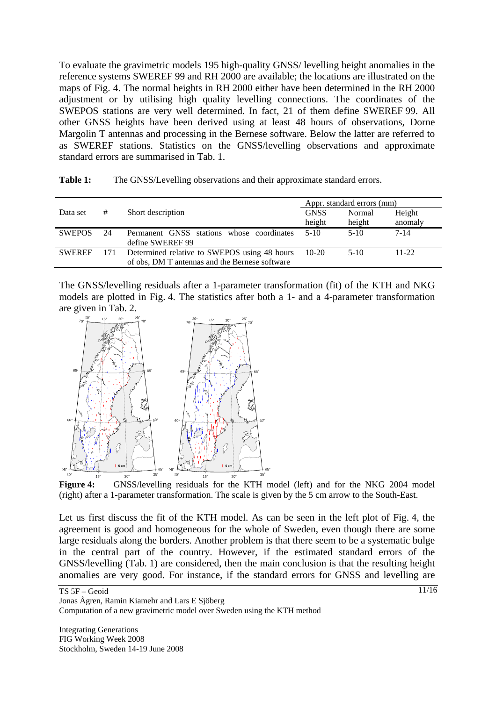To evaluate the gravimetric models 195 high-quality GNSS/ levelling height anomalies in the reference systems SWEREF 99 and RH 2000 are available; the locations are illustrated on the maps of Fig. 4. The normal heights in RH 2000 either have been determined in the RH 2000 adjustment or by utilising high quality levelling connections. The coordinates of the SWEPOS stations are very well determined. In fact, 21 of them define SWEREF 99. All other GNSS heights have been derived using at least 48 hours of observations, Dorne Margolin T antennas and processing in the Bernese software. Below the latter are referred to as SWEREF stations. Statistics on the GNSS/levelling observations and approximate standard errors are summarised in Tab. 1.

|               |     |                                                | Appr. standard errors (mm) |        |           |  |  |
|---------------|-----|------------------------------------------------|----------------------------|--------|-----------|--|--|
| Data set      | #   | Short description                              | <b>GNSS</b>                | Normal | Height    |  |  |
|               |     |                                                | height                     | height | anomaly   |  |  |
| <b>SWEPOS</b> | 24  | Permanent GNSS stations whose coordinates      | $5-10$                     | $5-10$ | $7 - 14$  |  |  |
|               |     | define SWEREF 99                               |                            |        |           |  |  |
| <b>SWEREF</b> | 171 | Determined relative to SWEPOS using 48 hours   | $10-20$                    | $5-10$ | $11 - 22$ |  |  |
|               |     | of obs, DM T antennas and the Bernese software |                            |        |           |  |  |

The GNSS/levelling residuals after a 1-parameter transformation (fit) of the KTH and NKG models are plotted in Fig. 4. The statistics after both a 1- and a 4-parameter transformation are given in Tab. 2.



Figure 4: GNSS/levelling residuals for the KTH model (left) and for the NKG 2004 model (right) after a 1-parameter transformation. The scale is given by the 5 cm arrow to the South-East.

Let us first discuss the fit of the KTH model. As can be seen in the left plot of Fig. 4, the agreement is good and homogeneous for the whole of Sweden, even though there are some large residuals along the borders. Another problem is that there seem to be a systematic bulge in the central part of the country. However, if the estimated standard errors of the GNSS/levelling (Tab. 1) are considered, then the main conclusion is that the resulting height anomalies are very good. For instance, if the standard errors for GNSS and levelling are

Computation of a new gravimetric model over Sweden using the KTH method

Integrating Generations FIG Working Week 2008 Stockholm, Sweden 14-19 June 2008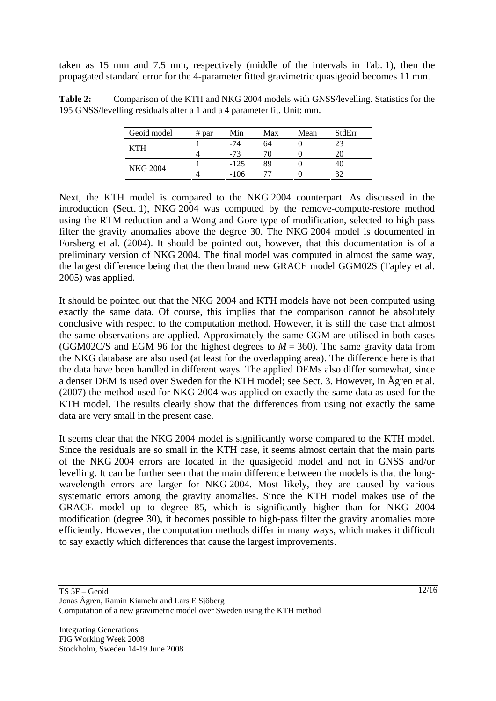taken as 15 mm and 7.5 mm, respectively (middle of the intervals in Tab. 1), then the propagated standard error for the 4-parameter fitted gravimetric quasigeoid becomes 11 mm.

Table 2: Comparison of the KTH and NKG 2004 models with GNSS/levelling. Statistics for the 195 GNSS/levelling residuals after a 1 and a 4 parameter fit. Unit: mm.

| Geoid model     | $#$ par | Min    | Max | Mean | StdErr |
|-----------------|---------|--------|-----|------|--------|
| KTH             |         |        | 64  |      |        |
|                 |         |        |     |      |        |
| <b>NKG 2004</b> |         | $-125$ | gο  |      |        |
|                 |         | $-106$ |     |      |        |

Next, the KTH model is compared to the NKG 2004 counterpart. As discussed in the introduction (Sect. 1), NKG 2004 was computed by the remove-compute-restore method using the RTM reduction and a Wong and Gore type of modification, selected to high pass filter the gravity anomalies above the degree 30. The NKG 2004 model is documented in Forsberg et al. (2004). It should be pointed out, however, that this documentation is of a preliminary version of NKG 2004. The final model was computed in almost the same way, the largest difference being that the then brand new GRACE model GGM02S (Tapley et al. 2005) was applied.

It should be pointed out that the NKG 2004 and KTH models have not been computed using exactly the same data. Of course, this implies that the comparison cannot be absolutely conclusive with respect to the computation method. However, it is still the case that almost the same observations are applied. Approximately the same GGM are utilised in both cases (GGM02C/S and EGM 96 for the highest degrees to  $M = 360$ ). The same gravity data from the NKG database are also used (at least for the overlapping area). The difference here is that the data have been handled in different ways. The applied DEMs also differ somewhat, since a denser DEM is used over Sweden for the KTH model; see Sect. 3. However, in Ågren et al. (2007) the method used for NKG 2004 was applied on exactly the same data as used for the KTH model. The results clearly show that the differences from using not exactly the same data are very small in the present case.

It seems clear that the NKG 2004 model is significantly worse compared to the KTH model. Since the residuals are so small in the KTH case, it seems almost certain that the main parts of the NKG 2004 errors are located in the quasigeoid model and not in GNSS and/or levelling. It can be further seen that the main difference between the models is that the longwavelength errors are larger for NKG 2004. Most likely, they are caused by various systematic errors among the gravity anomalies. Since the KTH model makes use of the GRACE model up to degree 85, which is significantly higher than for NKG 2004 modification (degree 30), it becomes possible to high-pass filter the gravity anomalies more efficiently. However, the computation methods differ in many ways, which makes it difficult to say exactly which differences that cause the largest improvements.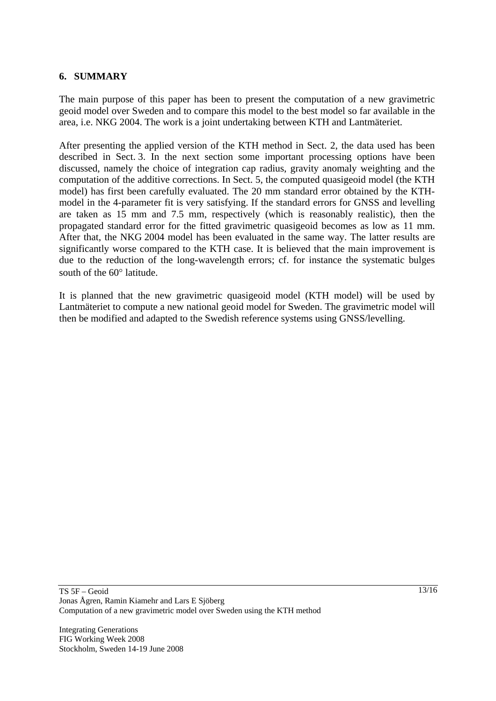#### **6. SUMMARY**

The main purpose of this paper has been to present the computation of a new gravimetric geoid model over Sweden and to compare this model to the best model so far available in the area, i.e. NKG 2004. The work is a joint undertaking between KTH and Lantmäteriet.

After presenting the applied version of the KTH method in Sect. 2, the data used has been described in Sect. 3. In the next section some important processing options have been discussed, namely the choice of integration cap radius, gravity anomaly weighting and the computation of the additive corrections. In Sect. 5, the computed quasigeoid model (the KTH model) has first been carefully evaluated. The 20 mm standard error obtained by the KTHmodel in the 4-parameter fit is very satisfying. If the standard errors for GNSS and levelling are taken as 15 mm and 7.5 mm, respectively (which is reasonably realistic), then the propagated standard error for the fitted gravimetric quasigeoid becomes as low as 11 mm. After that, the NKG 2004 model has been evaluated in the same way. The latter results are significantly worse compared to the KTH case. It is believed that the main improvement is due to the reduction of the long-wavelength errors; cf. for instance the systematic bulges south of the 60° latitude.

It is planned that the new gravimetric quasigeoid model (KTH model) will be used by Lantmäteriet to compute a new national geoid model for Sweden. The gravimetric model will then be modified and adapted to the Swedish reference systems using GNSS/levelling.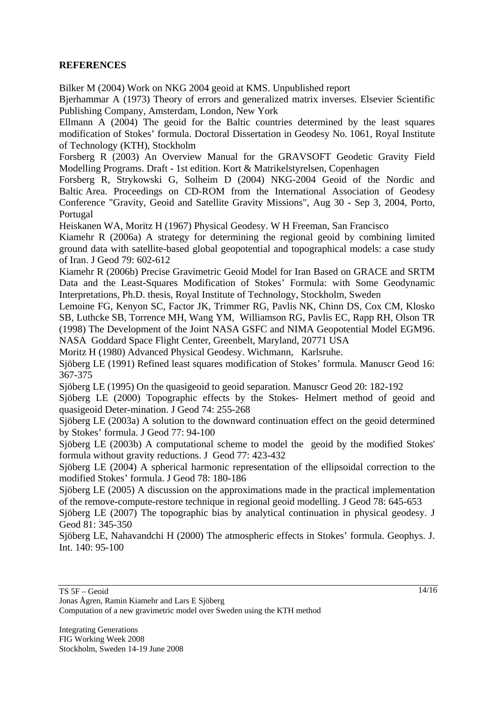### **REFERENCES**

Bilker M (2004) Work on NKG 2004 geoid at KMS. Unpublished report

Bjerhammar A (1973) Theory of errors and generalized matrix inverses. Elsevier Scientific Publishing Company, Amsterdam, London, New York

Ellmann A (2004) The geoid for the Baltic countries determined by the least squares modification of Stokes' formula. Doctoral Dissertation in Geodesy No. 1061, Royal Institute of Technology (KTH), Stockholm

Forsberg R (2003) An Overview Manual for the GRAVSOFT Geodetic Gravity Field Modelling Programs. Draft - 1st edition. Kort & Matrikelstyrelsen, Copenhagen

Forsberg R, Strykowski G, Solheim D (2004) NKG-2004 Geoid of the Nordic and Baltic Area. Proceedings on CD-ROM from the International Association of Geodesy Conference "Gravity, Geoid and Satellite Gravity Missions", Aug 30 - Sep 3, 2004, Porto, Portugal

Heiskanen WA, Moritz H (1967) Physical Geodesy. W H Freeman, San Francisco

Kiamehr R (2006a) A strategy for determining the regional geoid by combining limited ground data with satellite-based global geopotential and topographical models: a case study of Iran. J Geod 79: 602-612

Kiamehr R (2006b) Precise Gravimetric Geoid Model for Iran Based on GRACE and SRTM Data and the Least-Squares Modification of Stokes' Formula: with Some Geodynamic Interpretations, Ph.D. thesis, Royal Institute of Technology, Stockholm, Sweden

Lemoine FG, Kenyon SC, Factor JK, Trimmer RG, Pavlis NK, Chinn DS, Cox CM, Klosko SB, Luthcke SB, Torrence MH, Wang YM, Williamson RG, Pavlis EC, Rapp RH, Olson TR (1998) The Development of the Joint NASA GSFC and NIMA Geopotential Model EGM96. NASA Goddard Space Flight Center, Greenbelt, Maryland, 20771 USA

Moritz H (1980) Advanced Physical Geodesy. Wichmann, Karlsruhe.

Sjöberg LE (1991) Refined least squares modification of Stokes' formula. Manuscr Geod 16: 367-375

Sjöberg LE (1995) On the quasigeoid to geoid separation. Manuscr Geod 20: 182-192

Sjöberg LE (2000) Topographic effects by the Stokes- Helmert method of geoid and quasigeoid Deter-mination. J Geod 74: 255-268

Sjöberg LE (2003a) A solution to the downward continuation effect on the geoid determined by Stokes' formula. J Geod 77: 94-100

Sjöberg LE (2003b) A computational scheme to model the geoid by the modified Stokes' formula without gravity reductions. J Geod 77: 423-432

Sjöberg LE (2004) A spherical harmonic representation of the ellipsoidal correction to the modified Stokes' formula. J Geod 78: 180-186

Sjöberg LE (2005) A discussion on the approximations made in the practical implementation of the remove-compute-restore technique in regional geoid modelling. J Geod 78: 645-653

Sjöberg LE (2007) The topographic bias by analytical continuation in physical geodesy. J Geod 81: 345-350

Sjöberg LE, Nahavandchi H (2000) The atmospheric effects in Stokes' formula. Geophys. J. Int. 140: 95-100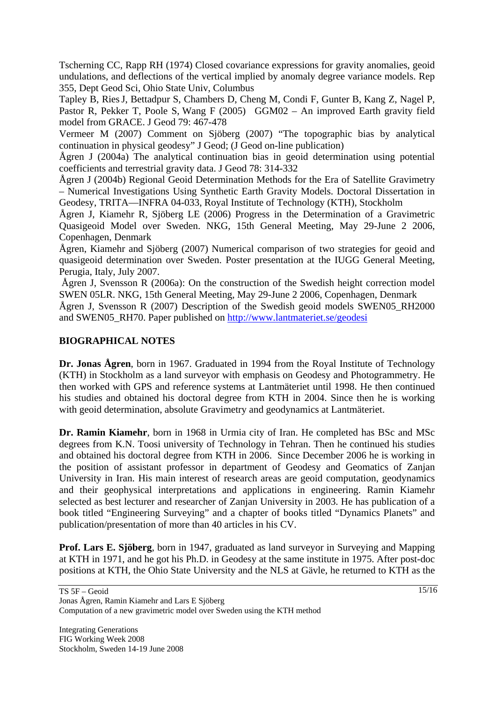Tscherning CC, Rapp RH (1974) Closed covariance expressions for gravity anomalies, geoid undulations, and deflections of the vertical implied by anomaly degree variance models. Rep 355, Dept Geod Sci, Ohio State Univ, Columbus

Tapley B, RiesJ, Bettadpur S, Chambers D, Cheng M, Condi F, Gunter B, Kang Z, Nagel P, Pastor R, Pekker T, Poole S, Wang F (2005) GGM02 – An improved Earth gravity field model from GRACE. J Geod 79: 467-478

Vermeer M (2007) Comment on Sjöberg (2007) "The topographic bias by analytical continuation in physical geodesy" J Geod; (J Geod on-line publication)

Ågren J (2004a) The analytical continuation bias in geoid determination using potential coefficients and terrestrial gravity data. J Geod 78: 314-332

Ågren J (2004b) Regional Geoid Determination Methods for the Era of Satellite Gravimetry – Numerical Investigations Using Synthetic Earth Gravity Models. Doctoral Dissertation in Geodesy, TRITA—INFRA 04-033, Royal Institute of Technology (KTH), Stockholm

Ågren J, Kiamehr R, Sjöberg LE (2006) Progress in the Determination of a Gravimetric Quasigeoid Model over Sweden. NKG, 15th General Meeting, May 29-June 2 2006, Copenhagen, Denmark

Ågren, Kiamehr and Sjöberg (2007) Numerical comparison of two strategies for geoid and quasigeoid determination over Sweden. Poster presentation at the IUGG General Meeting, Perugia, Italy, July 2007.

 Ågren J, Svensson R (2006a): On the construction of the Swedish height correction model SWEN 05LR. NKG, 15th General Meeting, May 29-June 2 2006, Copenhagen, Denmark

Ågren J, Svensson R (2007) Description of the Swedish geoid models SWEN05 RH2000 and SWEN05\_RH70. Paper published on http://www.lantmateriet.se/geodesi

### **BIOGRAPHICAL NOTES**

**Dr. Jonas Ågren**, born in 1967. Graduated in 1994 from the Royal Institute of Technology (KTH) in Stockholm as a land surveyor with emphasis on Geodesy and Photogrammetry. He then worked with GPS and reference systems at Lantmäteriet until 1998. He then continued his studies and obtained his doctoral degree from KTH in 2004. Since then he is working with geoid determination, absolute Gravimetry and geodynamics at Lantmäteriet.

**Dr. Ramin Kiamehr**, born in 1968 in Urmia city of Iran. He completed has BSc and MSc degrees from K.N. Toosi university of Technology in Tehran. Then he continued his studies and obtained his doctoral degree from KTH in 2006. Since December 2006 he is working in the position of assistant professor in department of Geodesy and Geomatics of Zanjan University in Iran. His main interest of research areas are geoid computation, geodynamics and their geophysical interpretations and applications in engineering. Ramin Kiamehr selected as best lecturer and researcher of Zanjan University in 2003. He has publication of a book titled "Engineering Surveying" and a chapter of books titled "Dynamics Planets" and publication/presentation of more than 40 articles in his CV.

**Prof. Lars E. Sjöberg**, born in 1947, graduated as land surveyor in Surveying and Mapping at KTH in 1971, and he got his Ph.D. in Geodesy at the same institute in 1975. After post-doc positions at KTH, the Ohio State University and the NLS at Gävle, he returned to KTH as the